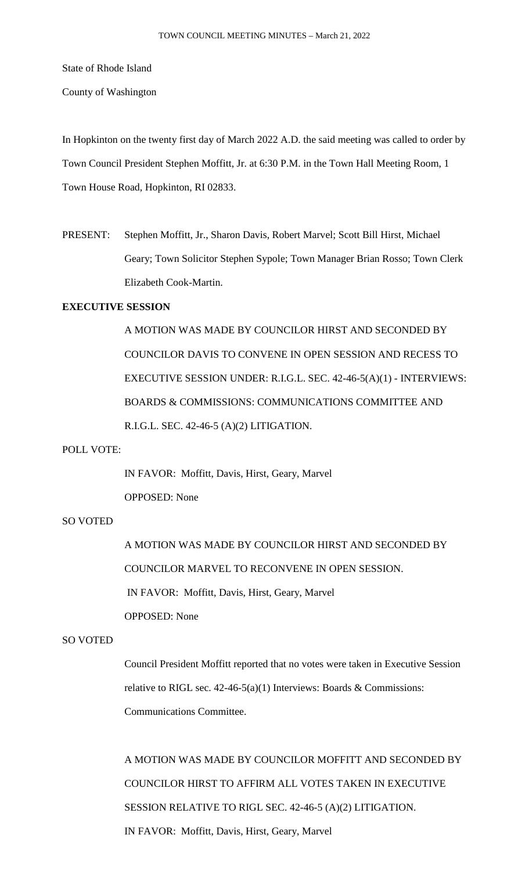State of Rhode Island

County of Washington

In Hopkinton on the twenty first day of March 2022 A.D. the said meeting was called to order by Town Council President Stephen Moffitt, Jr. at 6:30 P.M. in the Town Hall Meeting Room, 1 Town House Road, Hopkinton, RI 02833.

PRESENT: Stephen Moffitt, Jr., Sharon Davis, Robert Marvel; Scott Bill Hirst, Michael Geary; Town Solicitor Stephen Sypole; Town Manager Brian Rosso; Town Clerk Elizabeth Cook-Martin.

# **EXECUTIVE SESSION**

A MOTION WAS MADE BY COUNCILOR HIRST AND SECONDED BY COUNCILOR DAVIS TO CONVENE IN OPEN SESSION AND RECESS TO EXECUTIVE SESSION UNDER: R.I.G.L. SEC. 42-46-5(A)(1) - INTERVIEWS: BOARDS & COMMISSIONS: COMMUNICATIONS COMMITTEE AND R.I.G.L. SEC. 42-46-5 (A)(2) LITIGATION.

#### POLL VOTE:

IN FAVOR: Moffitt, Davis, Hirst, Geary, Marvel OPPOSED: None

## SO VOTED

A MOTION WAS MADE BY COUNCILOR HIRST AND SECONDED BY COUNCILOR MARVEL TO RECONVENE IN OPEN SESSION. IN FAVOR: Moffitt, Davis, Hirst, Geary, Marvel OPPOSED: None

## SO VOTED

Council President Moffitt reported that no votes were taken in Executive Session relative to RIGL sec.  $42-46-5(a)(1)$  Interviews: Boards & Commissions: Communications Committee.

A MOTION WAS MADE BY COUNCILOR MOFFITT AND SECONDED BY COUNCILOR HIRST TO AFFIRM ALL VOTES TAKEN IN EXECUTIVE SESSION RELATIVE TO RIGL SEC. 42-46-5 (A)(2) LITIGATION. IN FAVOR: Moffitt, Davis, Hirst, Geary, Marvel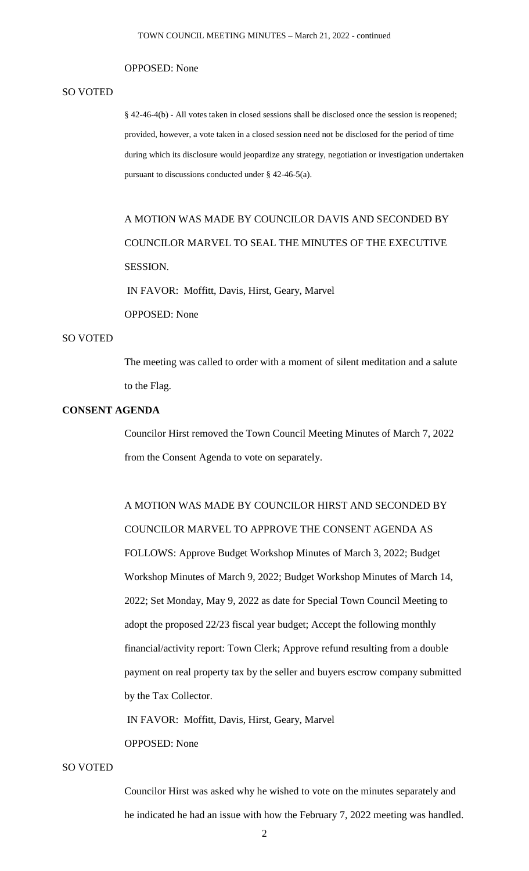#### OPPOSED: None

#### SO VOTED

§ 42-46-4(b) - All votes taken in closed sessions shall be disclosed once the session is reopened; provided, however, a vote taken in a closed session need not be disclosed for the period of time during which its disclosure would jeopardize any strategy, negotiation or investigation undertaken pursuant to discussions conducted under § 42-46-5(a).

# A MOTION WAS MADE BY COUNCILOR DAVIS AND SECONDED BY COUNCILOR MARVEL TO SEAL THE MINUTES OF THE EXECUTIVE SESSION.

IN FAVOR: Moffitt, Davis, Hirst, Geary, Marvel

OPPOSED: None

#### SO VOTED

The meeting was called to order with a moment of silent meditation and a salute to the Flag.

## **CONSENT AGENDA**

Councilor Hirst removed the Town Council Meeting Minutes of March 7, 2022 from the Consent Agenda to vote on separately.

A MOTION WAS MADE BY COUNCILOR HIRST AND SECONDED BY COUNCILOR MARVEL TO APPROVE THE CONSENT AGENDA AS FOLLOWS: Approve Budget Workshop Minutes of March 3, 2022; Budget Workshop Minutes of March 9, 2022; Budget Workshop Minutes of March 14, 2022; Set Monday, May 9, 2022 as date for Special Town Council Meeting to adopt the proposed 22/23 fiscal year budget; Accept the following monthly financial/activity report: Town Clerk; Approve refund resulting from a double payment on real property tax by the seller and buyers escrow company submitted by the Tax Collector.

IN FAVOR: Moffitt, Davis, Hirst, Geary, Marvel

#### OPPOSED: None

#### SO VOTED

Councilor Hirst was asked why he wished to vote on the minutes separately and he indicated he had an issue with how the February 7, 2022 meeting was handled.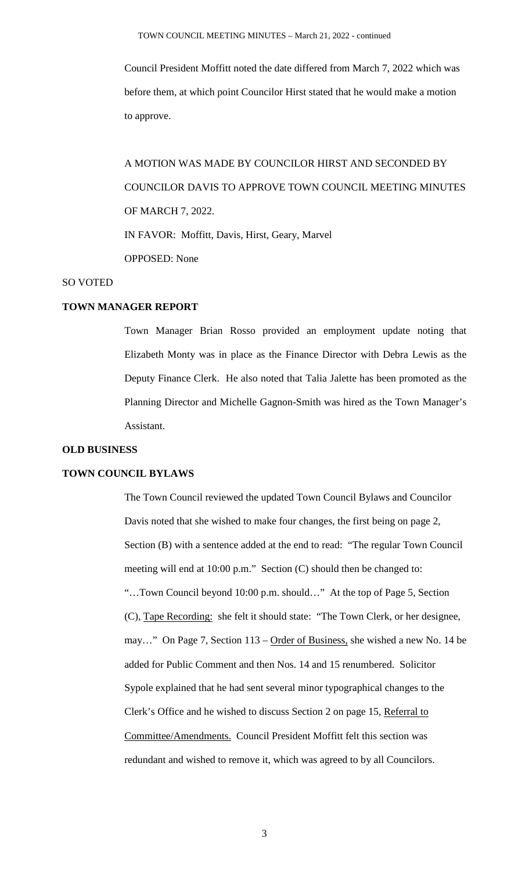Council President Moffitt noted the date differed from March 7, 2022 which was before them, at which point Councilor Hirst stated that he would make a motion to approve.

A MOTION WAS MADE BY COUNCILOR HIRST AND SECONDED BY COUNCILOR DAVIS TO APPROVE TOWN COUNCIL MEETING MINUTES OF MARCH 7, 2022. IN FAVOR: Moffitt, Davis, Hirst, Geary, Marvel OPPOSED: None

## SO VOTED

## **TOWN MANAGER REPORT**

Town Manager Brian Rosso provided an employment update noting that Elizabeth Monty was in place as the Finance Director with Debra Lewis as the Deputy Finance Clerk. He also noted that Talia Jalette has been promoted as the Planning Director and Michelle Gagnon-Smith was hired as the Town Manager's Assistant.

#### **OLD BUSINESS**

## **TOWN COUNCIL BYLAWS**

The Town Council reviewed the updated Town Council Bylaws and Councilor Davis noted that she wished to make four changes, the first being on page 2, Section (B) with a sentence added at the end to read: "The regular Town Council meeting will end at 10:00 p.m." Section (C) should then be changed to: "…Town Council beyond 10:00 p.m. should…" At the top of Page 5, Section (C), Tape Recording: she felt it should state: "The Town Clerk, or her designee, may..." On Page 7, Section 113 – Order of Business, she wished a new No. 14 be added for Public Comment and then Nos. 14 and 15 renumbered. Solicitor Sypole explained that he had sent several minor typographical changes to the Clerk's Office and he wished to discuss Section 2 on page 15, Referral to Committee/Amendments. Council President Moffitt felt this section was redundant and wished to remove it, which was agreed to by all Councilors.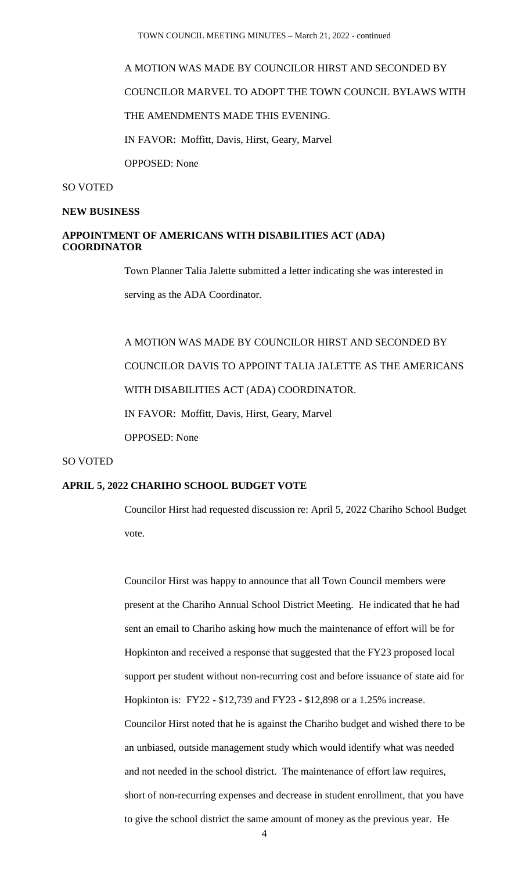TOWN COUNCIL MEETING MINUTES – March 21, 2022 - continued

## A MOTION WAS MADE BY COUNCILOR HIRST AND SECONDED BY

COUNCILOR MARVEL TO ADOPT THE TOWN COUNCIL BYLAWS WITH

THE AMENDMENTS MADE THIS EVENING.

IN FAVOR: Moffitt, Davis, Hirst, Geary, Marvel

OPPOSED: None

### SO VOTED

#### **NEW BUSINESS**

## **APPOINTMENT OF AMERICANS WITH DISABILITIES ACT (ADA) COORDINATOR**

Town Planner Talia Jalette submitted a letter indicating she was interested in

serving as the ADA Coordinator.

A MOTION WAS MADE BY COUNCILOR HIRST AND SECONDED BY COUNCILOR DAVIS TO APPOINT TALIA JALETTE AS THE AMERICANS WITH DISABILITIES ACT (ADA) COORDINATOR. IN FAVOR: Moffitt, Davis, Hirst, Geary, Marvel

OPPOSED: None

#### SO VOTED

## **APRIL 5, 2022 CHARIHO SCHOOL BUDGET VOTE**

Councilor Hirst had requested discussion re: April 5, 2022 Chariho School Budget vote.

Councilor Hirst was happy to announce that all Town Council members were present at the Chariho Annual School District Meeting. He indicated that he had sent an email to Chariho asking how much the maintenance of effort will be for Hopkinton and received a response that suggested that the FY23 proposed local support per student without non-recurring cost and before issuance of state aid for Hopkinton is: FY22 - \$12,739 and FY23 - \$12,898 or a 1.25% increase. Councilor Hirst noted that he is against the Chariho budget and wished there to be an unbiased, outside management study which would identify what was needed and not needed in the school district. The maintenance of effort law requires, short of non-recurring expenses and decrease in student enrollment, that you have to give the school district the same amount of money as the previous year. He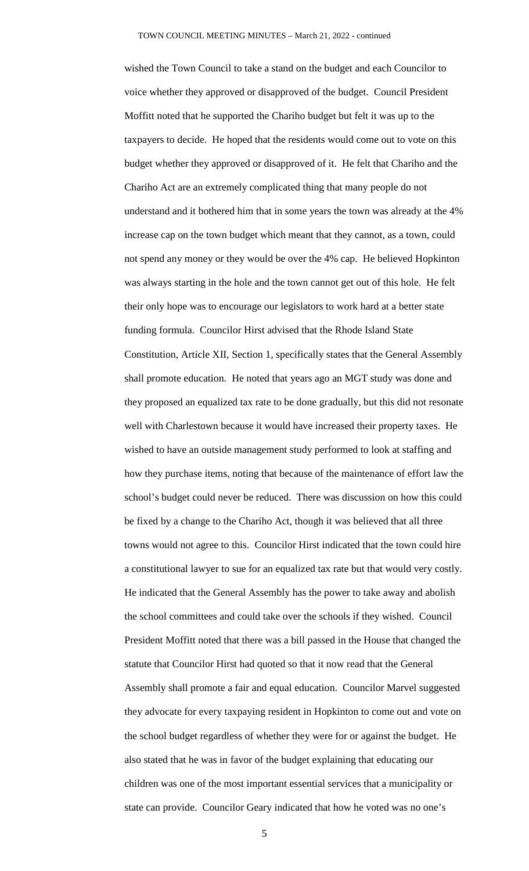wished the Town Council to take a stand on the budget and each Councilor to voice whether they approved or disapproved of the budget. Council President Moffitt noted that he supported the Chariho budget but felt it was up to the taxpayers to decide. He hoped that the residents would come out to vote on this budget whether they approved or disapproved of it. He felt that Chariho and the Chariho Act are an extremely complicated thing that many people do not understand and it bothered him that in some years the town was already at the 4% increase cap on the town budget which meant that they cannot, as a town, could not spend any money or they would be over the 4% cap. He believed Hopkinton was always starting in the hole and the town cannot get out of this hole. He felt their only hope was to encourage our legislators to work hard at a better state funding formula. Councilor Hirst advised that the Rhode Island State Constitution, Article XII, Section 1, specifically states that the General Assembly shall promote education. He noted that years ago an MGT study was done and they proposed an equalized tax rate to be done gradually, but this did not resonate well with Charlestown because it would have increased their property taxes. He wished to have an outside management study performed to look at staffing and how they purchase items, noting that because of the maintenance of effort law the school's budget could never be reduced. There was discussion on how this could be fixed by a change to the Chariho Act, though it was believed that all three towns would not agree to this. Councilor Hirst indicated that the town could hire a constitutional lawyer to sue for an equalized tax rate but that would very costly. He indicated that the General Assembly has the power to take away and abolish the school committees and could take over the schools if they wished. Council President Moffitt noted that there was a bill passed in the House that changed the statute that Councilor Hirst had quoted so that it now read that the General Assembly shall promote a fair and equal education. Councilor Marvel suggested they advocate for every taxpaying resident in Hopkinton to come out and vote on the school budget regardless of whether they were for or against the budget. He also stated that he was in favor of the budget explaining that educating our children was one of the most important essential services that a municipality or state can provide. Councilor Geary indicated that how he voted was no one's

5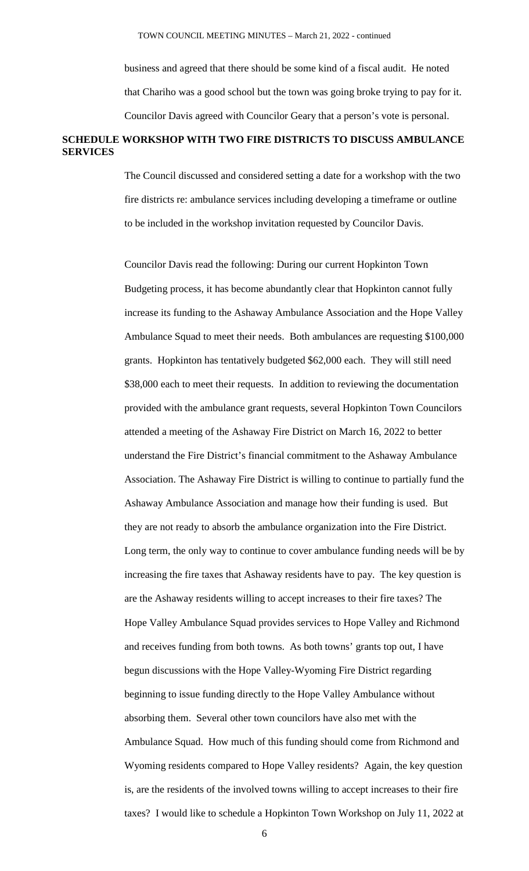business and agreed that there should be some kind of a fiscal audit. He noted that Chariho was a good school but the town was going broke trying to pay for it. Councilor Davis agreed with Councilor Geary that a person's vote is personal.

# **SCHEDULE WORKSHOP WITH TWO FIRE DISTRICTS TO DISCUSS AMBULANCE SERVICES**

The Council discussed and considered setting a date for a workshop with the two fire districts re: ambulance services including developing a timeframe or outline to be included in the workshop invitation requested by Councilor Davis.

Councilor Davis read the following: During our current Hopkinton Town Budgeting process, it has become abundantly clear that Hopkinton cannot fully increase its funding to the Ashaway Ambulance Association and the Hope Valley Ambulance Squad to meet their needs. Both ambulances are requesting \$100,000 grants. Hopkinton has tentatively budgeted \$62,000 each. They will still need \$38,000 each to meet their requests. In addition to reviewing the documentation provided with the ambulance grant requests, several Hopkinton Town Councilors attended a meeting of the Ashaway Fire District on March 16, 2022 to better understand the Fire District's financial commitment to the Ashaway Ambulance Association. The Ashaway Fire District is willing to continue to partially fund the Ashaway Ambulance Association and manage how their funding is used. But they are not ready to absorb the ambulance organization into the Fire District. Long term, the only way to continue to cover ambulance funding needs will be by increasing the fire taxes that Ashaway residents have to pay. The key question is are the Ashaway residents willing to accept increases to their fire taxes? The Hope Valley Ambulance Squad provides services to Hope Valley and Richmond and receives funding from both towns. As both towns' grants top out, I have begun discussions with the Hope Valley-Wyoming Fire District regarding beginning to issue funding directly to the Hope Valley Ambulance without absorbing them. Several other town councilors have also met with the Ambulance Squad. How much of this funding should come from Richmond and Wyoming residents compared to Hope Valley residents? Again, the key question is, are the residents of the involved towns willing to accept increases to their fire taxes? I would like to schedule a Hopkinton Town Workshop on July 11, 2022 at

6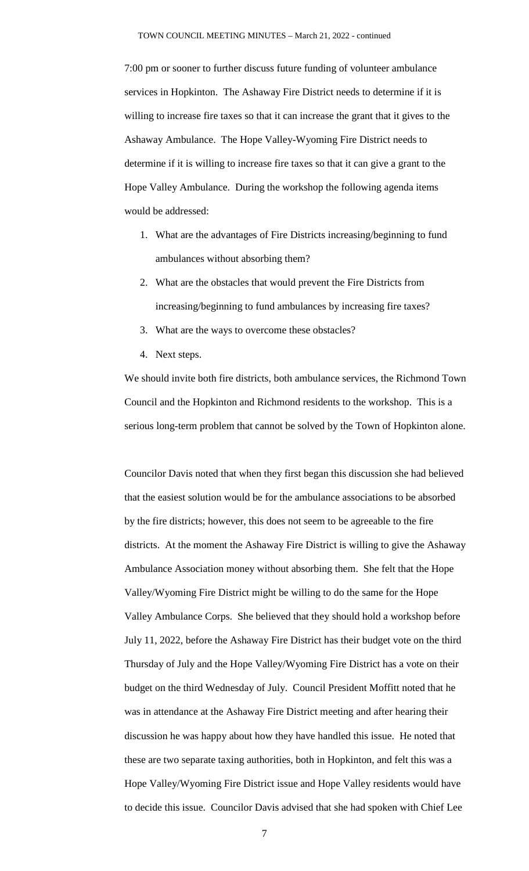7:00 pm or sooner to further discuss future funding of volunteer ambulance services in Hopkinton. The Ashaway Fire District needs to determine if it is willing to increase fire taxes so that it can increase the grant that it gives to the Ashaway Ambulance. The Hope Valley-Wyoming Fire District needs to determine if it is willing to increase fire taxes so that it can give a grant to the Hope Valley Ambulance. During the workshop the following agenda items would be addressed:

- 1. What are the advantages of Fire Districts increasing/beginning to fund ambulances without absorbing them?
- 2. What are the obstacles that would prevent the Fire Districts from increasing/beginning to fund ambulances by increasing fire taxes?
- 3. What are the ways to overcome these obstacles?
- 4. Next steps.

We should invite both fire districts, both ambulance services, the Richmond Town Council and the Hopkinton and Richmond residents to the workshop. This is a serious long-term problem that cannot be solved by the Town of Hopkinton alone.

Councilor Davis noted that when they first began this discussion she had believed that the easiest solution would be for the ambulance associations to be absorbed by the fire districts; however, this does not seem to be agreeable to the fire districts. At the moment the Ashaway Fire District is willing to give the Ashaway Ambulance Association money without absorbing them. She felt that the Hope Valley/Wyoming Fire District might be willing to do the same for the Hope Valley Ambulance Corps. She believed that they should hold a workshop before July 11, 2022, before the Ashaway Fire District has their budget vote on the third Thursday of July and the Hope Valley/Wyoming Fire District has a vote on their budget on the third Wednesday of July. Council President Moffitt noted that he was in attendance at the Ashaway Fire District meeting and after hearing their discussion he was happy about how they have handled this issue. He noted that these are two separate taxing authorities, both in Hopkinton, and felt this was a Hope Valley/Wyoming Fire District issue and Hope Valley residents would have to decide this issue. Councilor Davis advised that she had spoken with Chief Lee